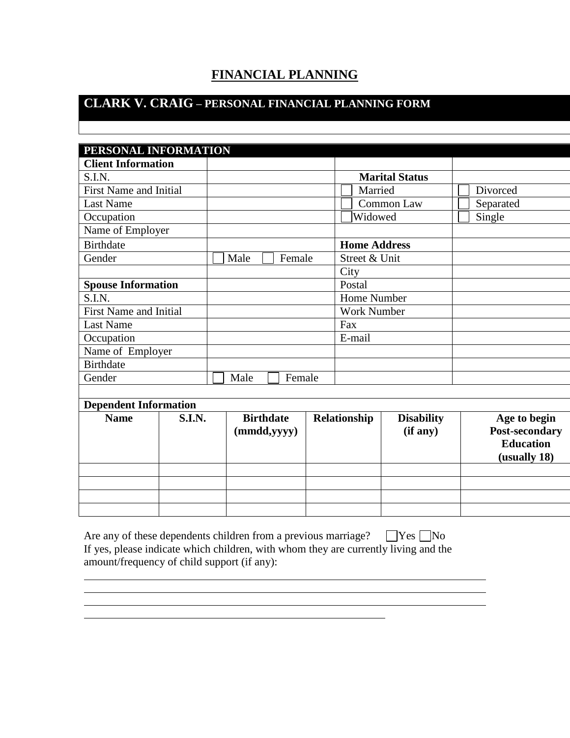## **FINANCIAL PLANNING**

# **CLARK V. CRAIG – PERSONAL FINANCIAL PLANNING FORM**

| PERSONAL INFORMATION          |               |  |                  |                    |                     |                       |                  |
|-------------------------------|---------------|--|------------------|--------------------|---------------------|-----------------------|------------------|
| <b>Client Information</b>     |               |  |                  |                    |                     |                       |                  |
| S.I.N.                        |               |  |                  |                    |                     | <b>Marital Status</b> |                  |
| <b>First Name and Initial</b> |               |  |                  |                    | Married             |                       | Divorced         |
| <b>Last Name</b>              |               |  |                  |                    |                     | Common Law            | Separated        |
| Occupation                    |               |  |                  |                    | Widowed             |                       | Single           |
| Name of Employer              |               |  |                  |                    |                     |                       |                  |
| <b>Birthdate</b>              |               |  |                  |                    | <b>Home Address</b> |                       |                  |
| Gender                        |               |  | Male             | Female             | Street & Unit       |                       |                  |
|                               |               |  |                  |                    | City                |                       |                  |
| <b>Spouse Information</b>     |               |  |                  |                    | Postal              |                       |                  |
| S.I.N.                        |               |  |                  | <b>Home Number</b> |                     |                       |                  |
| <b>First Name and Initial</b> |               |  |                  | <b>Work Number</b> |                     |                       |                  |
| <b>Last Name</b>              |               |  |                  |                    | Fax                 |                       |                  |
| Occupation                    |               |  |                  |                    | E-mail              |                       |                  |
| Name of Employer              |               |  |                  |                    |                     |                       |                  |
| <b>Birthdate</b>              |               |  |                  |                    |                     |                       |                  |
| Gender                        |               |  | Male<br>Female   |                    |                     |                       |                  |
|                               |               |  |                  |                    |                     |                       |                  |
| <b>Dependent Information</b>  |               |  |                  |                    |                     |                       |                  |
| <b>Name</b>                   | <b>S.I.N.</b> |  | <b>Birthdate</b> |                    | Relationship        | <b>Disability</b>     | Age to begin     |
|                               |               |  | (mmdd, yyy)      |                    |                     | (if any)              | Post-secondary   |
|                               |               |  |                  |                    |                     |                       | <b>Education</b> |
|                               |               |  |                  |                    |                     |                       | (usually 18)     |
|                               |               |  |                  |                    |                     |                       |                  |
|                               |               |  |                  |                    |                     |                       |                  |
|                               |               |  |                  |                    |                     |                       |                  |
|                               |               |  |                  |                    |                     |                       |                  |

| Are any of these dependents children from a previous marriage? $\Box$ Yes $\Box$ No |
|-------------------------------------------------------------------------------------|
| If yes, please indicate which children, with whom they are currently living and the |
| amount/frequency of child support (if any):                                         |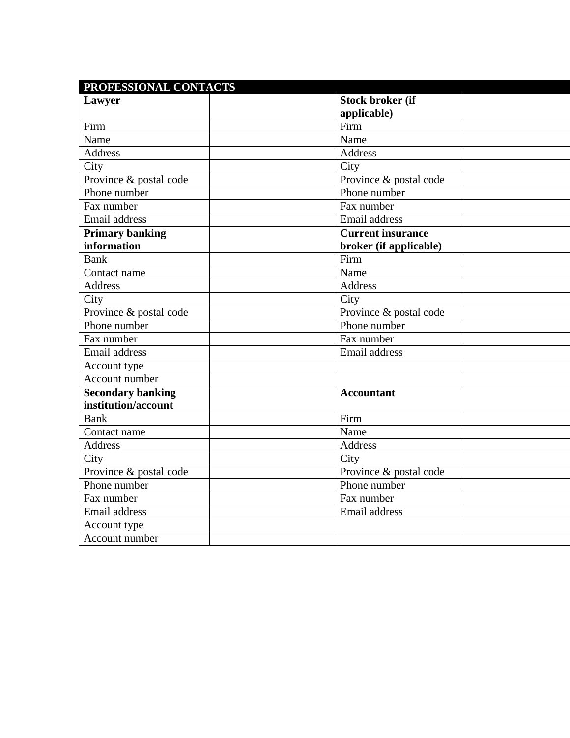| PROFESSIONAL CONTACTS    |                          |  |
|--------------------------|--------------------------|--|
| Lawyer                   | <b>Stock broker (if</b>  |  |
|                          | applicable)              |  |
| Firm                     | Firm                     |  |
| Name                     | Name                     |  |
| <b>Address</b>           | <b>Address</b>           |  |
| City                     | City                     |  |
| Province & postal code   | Province & postal code   |  |
| Phone number             | Phone number             |  |
| Fax number               | Fax number               |  |
| Email address            | Email address            |  |
| <b>Primary banking</b>   | <b>Current insurance</b> |  |
| information              | broker (if applicable)   |  |
| <b>Bank</b>              | Firm                     |  |
| Contact name             | Name                     |  |
| <b>Address</b>           | <b>Address</b>           |  |
| City                     | City                     |  |
| Province & postal code   | Province & postal code   |  |
| Phone number             | Phone number             |  |
| Fax number               | Fax number               |  |
| Email address            | Email address            |  |
| Account type             |                          |  |
| Account number           |                          |  |
| <b>Secondary banking</b> | <b>Accountant</b>        |  |
| institution/account      |                          |  |
| <b>Bank</b>              | Firm                     |  |
| Contact name             | Name                     |  |
| <b>Address</b>           | Address                  |  |
| City                     | City                     |  |
| Province & postal code   | Province & postal code   |  |
| Phone number             | Phone number             |  |
| Fax number               | Fax number               |  |
| Email address            | Email address            |  |
| Account type             |                          |  |
| Account number           |                          |  |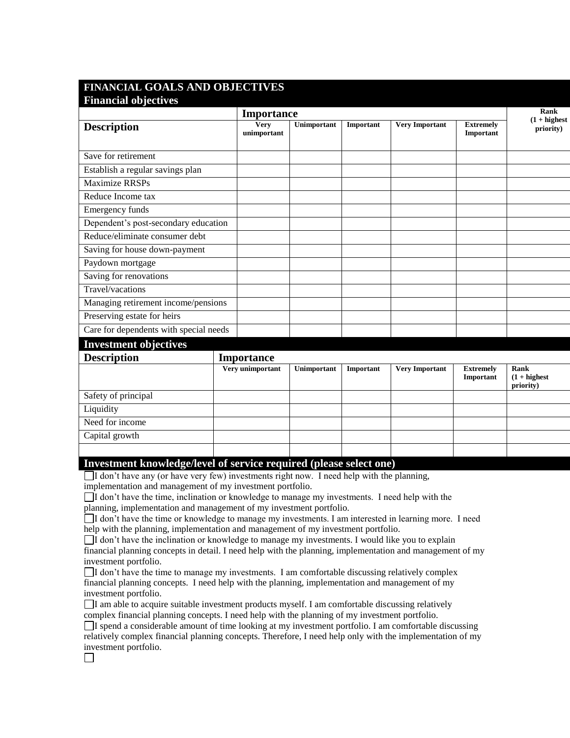### **FINANCIAL GOALS AND OBJECTIVES Financial objectives**

|                                        |  | Importance                 |             |           |                       |                               | Rank                                 |
|----------------------------------------|--|----------------------------|-------------|-----------|-----------------------|-------------------------------|--------------------------------------|
| <b>Description</b>                     |  | <b>Very</b><br>unimportant | Unimportant | Important | <b>Very Important</b> | <b>Extremely</b><br>Important | $(1 + highest)$<br>priority)         |
| Save for retirement                    |  |                            |             |           |                       |                               |                                      |
| Establish a regular savings plan       |  |                            |             |           |                       |                               |                                      |
| Maximize RRSPs                         |  |                            |             |           |                       |                               |                                      |
| Reduce Income tax                      |  |                            |             |           |                       |                               |                                      |
| Emergency funds                        |  |                            |             |           |                       |                               |                                      |
| Dependent's post-secondary education   |  |                            |             |           |                       |                               |                                      |
| Reduce/eliminate consumer debt         |  |                            |             |           |                       |                               |                                      |
| Saving for house down-payment          |  |                            |             |           |                       |                               |                                      |
| Paydown mortgage                       |  |                            |             |           |                       |                               |                                      |
| Saving for renovations                 |  |                            |             |           |                       |                               |                                      |
| Travel/vacations                       |  |                            |             |           |                       |                               |                                      |
| Managing retirement income/pensions    |  |                            |             |           |                       |                               |                                      |
| Preserving estate for heirs            |  |                            |             |           |                       |                               |                                      |
| Care for dependents with special needs |  |                            |             |           |                       |                               |                                      |
| <b>Investment objectives</b>           |  |                            |             |           |                       |                               |                                      |
| <b>Description</b>                     |  | <b>Importance</b>          |             |           |                       |                               |                                      |
|                                        |  | Very unimportant           | Unimportant | Important | <b>Very Important</b> | <b>Extremely</b><br>Important | Rank<br>$(1 + highest)$<br>priority) |
| Safety of principal                    |  |                            |             |           |                       |                               |                                      |
| Liquidity                              |  |                            |             |           |                       |                               |                                      |
| Need for income                        |  |                            |             |           |                       |                               |                                      |
| Capital growth                         |  |                            |             |           |                       |                               |                                      |

#### **Investment knowledge/level of service required (please select one)**

 $\Box$ I don't have any (or have very few) investments right now. I need help with the planning, implementation and management of my investment portfolio.

I don't have the time, inclination or knowledge to manage my investments. I need help with the planning, implementation and management of my investment portfolio.

I don't have the time or knowledge to manage my investments. I am interested in learning more. I need help with the planning, implementation and management of my investment portfolio.

 $\Box$ I don't have the inclination or knowledge to manage my investments. I would like you to explain financial planning concepts in detail. I need help with the planning, implementation and management of my investment portfolio.

I don't have the time to manage my investments. I am comfortable discussing relatively complex financial planning concepts. I need help with the planning, implementation and management of my investment portfolio.

I am able to acquire suitable investment products myself. I am comfortable discussing relatively complex financial planning concepts. I need help with the planning of my investment portfolio.

I spend a considerable amount of time looking at my investment portfolio. I am comfortable discussing relatively complex financial planning concepts. Therefore, I need help only with the implementation of my investment portfolio. $\Box$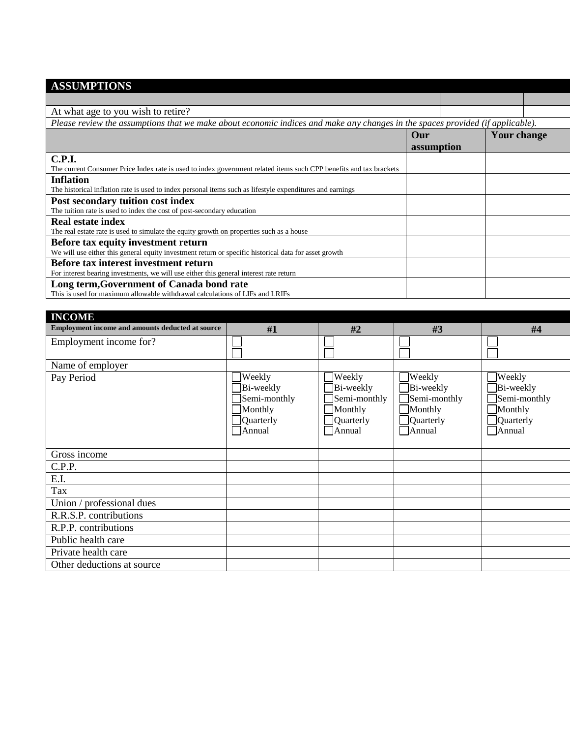# **ASSUMPTIONS**

| At what age to you wish to retire?                                                                                             |            |             |  |
|--------------------------------------------------------------------------------------------------------------------------------|------------|-------------|--|
| Please review the assumptions that we make about economic indices and make any changes in the spaces provided (if applicable). |            |             |  |
|                                                                                                                                | Our        | Your change |  |
|                                                                                                                                | assumption |             |  |
| <b>C.P.I.</b>                                                                                                                  |            |             |  |
| The current Consumer Price Index rate is used to index government related items such CPP benefits and tax brackets             |            |             |  |
| <b>Inflation</b>                                                                                                               |            |             |  |
| The historical inflation rate is used to index personal items such as lifestyle expenditures and earnings                      |            |             |  |
| Post secondary tuition cost index                                                                                              |            |             |  |
| The tuition rate is used to index the cost of post-secondary education                                                         |            |             |  |
| <b>Real estate index</b>                                                                                                       |            |             |  |
| The real estate rate is used to simulate the equity growth on properties such as a house                                       |            |             |  |
| Before tax equity investment return                                                                                            |            |             |  |
| We will use either this general equity investment return or specific historical data for asset growth                          |            |             |  |
| Before tax interest investment return                                                                                          |            |             |  |
| For interest bearing investments, we will use either this general interest rate return                                         |            |             |  |
| Long term, Government of Canada bond rate                                                                                      |            |             |  |
| This is used for maximum allowable withdrawal calculations of LIFs and LRIFs                                                   |            |             |  |

| <b>INCOME</b>                                    |                                                                                                   |                                                                       |                                                                                                            |                                                                       |
|--------------------------------------------------|---------------------------------------------------------------------------------------------------|-----------------------------------------------------------------------|------------------------------------------------------------------------------------------------------------|-----------------------------------------------------------------------|
| Employment income and amounts deducted at source | #1                                                                                                | #2                                                                    | #3                                                                                                         | #4                                                                    |
| Employment income for?                           |                                                                                                   |                                                                       |                                                                                                            |                                                                       |
| Name of employer                                 |                                                                                                   |                                                                       |                                                                                                            |                                                                       |
| Pay Period                                       | $\Box$ Weekly<br>$\Box$ Bi-weekly<br>$\Box$ Semi-monthly<br>Monthly<br>Quarterly<br>$\Box$ Annual | Weekly<br>Bi-weekly<br>Semi-monthly<br>Monthly<br>Quarterly<br>Annual | Weekly<br>Bi-weekly<br>$\Box$ Semi-monthly<br>$\Box$ Monthly<br>$\Box$ Quarterly<br>Annual<br>$\mathsf{I}$ | Weekly<br>Bi-weekly<br>Semi-monthly<br>Monthly<br>Quarterly<br>Annual |
| Gross income                                     |                                                                                                   |                                                                       |                                                                                                            |                                                                       |
| C.P.P.                                           |                                                                                                   |                                                                       |                                                                                                            |                                                                       |
| E.I.                                             |                                                                                                   |                                                                       |                                                                                                            |                                                                       |
| Tax                                              |                                                                                                   |                                                                       |                                                                                                            |                                                                       |
| Union / professional dues                        |                                                                                                   |                                                                       |                                                                                                            |                                                                       |
| R.R.S.P. contributions                           |                                                                                                   |                                                                       |                                                                                                            |                                                                       |
| R.P.P. contributions                             |                                                                                                   |                                                                       |                                                                                                            |                                                                       |
| Public health care                               |                                                                                                   |                                                                       |                                                                                                            |                                                                       |
| Private health care                              |                                                                                                   |                                                                       |                                                                                                            |                                                                       |
| Other deductions at source                       |                                                                                                   |                                                                       |                                                                                                            |                                                                       |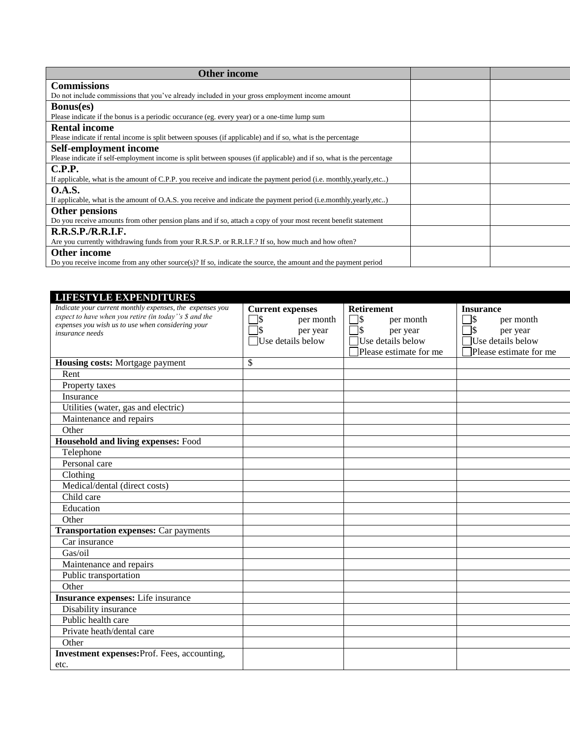| <b>Other income</b>                                                                                                  |  |
|----------------------------------------------------------------------------------------------------------------------|--|
| <b>Commissions</b>                                                                                                   |  |
| Do not include commissions that you've already included in your gross employment income amount                       |  |
| <b>Bonus(es)</b>                                                                                                     |  |
| Please indicate if the bonus is a periodic occurance (eg. every year) or a one-time lump sum                         |  |
| <b>Rental income</b>                                                                                                 |  |
| Please indicate if rental income is split between spouses (if applicable) and if so, what is the percentage          |  |
| Self-employment income                                                                                               |  |
| Please indicate if self-employment income is split between spouses (if applicable) and if so, what is the percentage |  |
| C.P.P.                                                                                                               |  |
| If applicable, what is the amount of C.P.P. you receive and indicate the payment period (i.e. monthly, yearly, etc)  |  |
| <b>O.A.S.</b>                                                                                                        |  |
| If applicable, what is the amount of O.A.S. you receive and indicate the payment period (i.e.monthly, yearly, etc)   |  |
| Other pensions                                                                                                       |  |
| Do you receive amounts from other pension plans and if so, attach a copy of your most recent benefit statement       |  |
| R.R.S.P./R.R.I.F.                                                                                                    |  |
| Are you currently withdrawing funds from your R.R.S.P. or R.R.I.F.? If so, how much and how often?                   |  |
| <b>Other income</b>                                                                                                  |  |
| Do you receive income from any other source(s)? If so, indicate the source, the amount and the payment period        |  |

| <b>LIFESTYLE EXPENDITURES</b>                                                                              |                         |                        |                        |
|------------------------------------------------------------------------------------------------------------|-------------------------|------------------------|------------------------|
| Indicate your current monthly expenses, the expenses you                                                   | <b>Current expenses</b> | <b>Retirement</b>      | <b>Insurance</b>       |
| expect to have when you retire (in today's \$ and the<br>expenses you wish us to use when considering your | $\sqrt{3}$<br>per month | 7\$<br>per month       | 1\$<br>per month       |
| insurance needs                                                                                            | per year                | 7\$<br>per year        | 1\$<br>per year        |
|                                                                                                            | Use details below       | Use details below      | Use details below      |
|                                                                                                            |                         | Please estimate for me | Please estimate for me |
| Housing costs: Mortgage payment                                                                            | \$                      |                        |                        |
| Rent                                                                                                       |                         |                        |                        |
| Property taxes                                                                                             |                         |                        |                        |
| Insurance                                                                                                  |                         |                        |                        |
| Utilities (water, gas and electric)                                                                        |                         |                        |                        |
| Maintenance and repairs                                                                                    |                         |                        |                        |
| Other                                                                                                      |                         |                        |                        |
| <b>Household and living expenses: Food</b>                                                                 |                         |                        |                        |
| Telephone                                                                                                  |                         |                        |                        |
| Personal care                                                                                              |                         |                        |                        |
| Clothing                                                                                                   |                         |                        |                        |
| Medical/dental (direct costs)                                                                              |                         |                        |                        |
| Child care                                                                                                 |                         |                        |                        |
| Education                                                                                                  |                         |                        |                        |
| Other                                                                                                      |                         |                        |                        |
| <b>Transportation expenses:</b> Car payments                                                               |                         |                        |                        |
| Car insurance                                                                                              |                         |                        |                        |
| Gas/oil                                                                                                    |                         |                        |                        |
| Maintenance and repairs                                                                                    |                         |                        |                        |
| Public transportation                                                                                      |                         |                        |                        |
| Other                                                                                                      |                         |                        |                        |
| Insurance expenses: Life insurance                                                                         |                         |                        |                        |
| Disability insurance                                                                                       |                         |                        |                        |
| Public health care                                                                                         |                         |                        |                        |
| Private heath/dental care                                                                                  |                         |                        |                        |
| Other                                                                                                      |                         |                        |                        |
| <b>Investment expenses:</b> Prof. Fees, accounting,                                                        |                         |                        |                        |
| etc.                                                                                                       |                         |                        |                        |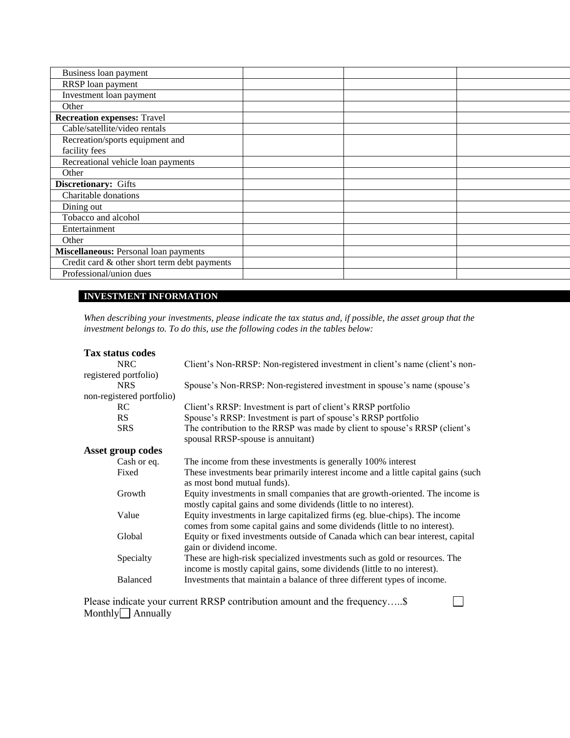| Business loan payment                        |  |  |
|----------------------------------------------|--|--|
| RRSP loan payment                            |  |  |
| Investment loan payment                      |  |  |
| Other                                        |  |  |
| <b>Recreation expenses: Travel</b>           |  |  |
| Cable/satellite/video rentals                |  |  |
| Recreation/sports equipment and              |  |  |
| facility fees                                |  |  |
| Recreational vehicle loan payments           |  |  |
| Other                                        |  |  |
| Discretionary: Gifts                         |  |  |
| Charitable donations                         |  |  |
| Dining out                                   |  |  |
| Tobacco and alcohol                          |  |  |
| Entertainment                                |  |  |
| Other                                        |  |  |
| <b>Miscellaneous: Personal loan payments</b> |  |  |
| Credit card & other short term debt payments |  |  |
| Professional/union dues                      |  |  |
|                                              |  |  |

#### **INVESTMENT INFORMATION**

*When describing your investments, please indicate the tax status and, if possible, the asset group that the investment belongs to. To do this, use the following codes in the tables below:*

| <b>Tax status codes</b>   |                                                                                                                                                         |
|---------------------------|---------------------------------------------------------------------------------------------------------------------------------------------------------|
| <b>NRC</b>                | Client's Non-RRSP: Non-registered investment in client's name (client's non-                                                                            |
| registered portfolio)     |                                                                                                                                                         |
| <b>NRS</b>                | Spouse's Non-RRSP: Non-registered investment in spouse's name (spouse's                                                                                 |
| non-registered portfolio) |                                                                                                                                                         |
| RC.                       | Client's RRSP: Investment is part of client's RRSP portfolio                                                                                            |
| RS                        | Spouse's RRSP: Investment is part of spouse's RRSP portfolio                                                                                            |
| <b>SRS</b>                | The contribution to the RRSP was made by client to spouse's RRSP (client's<br>spousal RRSP-spouse is annuitant)                                         |
| Asset group codes         |                                                                                                                                                         |
| Cash or eq.               | The income from these investments is generally 100% interest                                                                                            |
| Fixed                     | These investments bear primarily interest income and a little capital gains (such<br>as most bond mutual funds).                                        |
| Growth                    | Equity investments in small companies that are growth-oriented. The income is<br>mostly capital gains and some dividends (little to no interest).       |
| Value                     | Equity investments in large capitalized firms (eg. blue-chips). The income<br>comes from some capital gains and some dividends (little to no interest). |
| Global                    | Equity or fixed investments outside of Canada which can bear interest, capital<br>gain or dividend income.                                              |
| Specialty                 | These are high-risk specialized investments such as gold or resources. The<br>income is mostly capital gains, some dividends (little to no interest).   |
| Balanced                  | Investments that maintain a balance of three different types of income.                                                                                 |
|                           | Please indicate your current RRSP contribution amount and the frequency\$                                                                               |

Please indicate your current RRSP contribution amount and the frequency.....\$  $Monthly$  Annually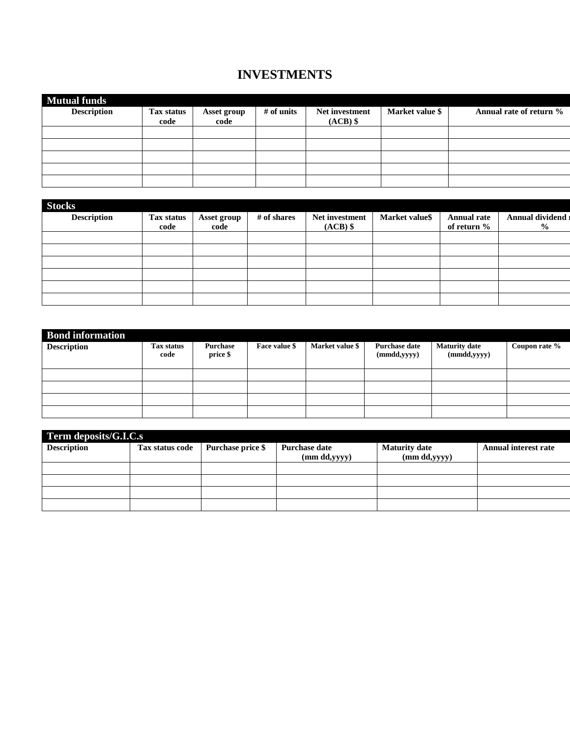## **INVESTMENTS**

| <b>Mutual funds</b> |                    |                            |            |                              |                 |                         |
|---------------------|--------------------|----------------------------|------------|------------------------------|-----------------|-------------------------|
| <b>Description</b>  | Tax status<br>code | <b>Asset group</b><br>code | # of units | Net investment<br>$(ACB)$ \$ | Market value \$ | Annual rate of return % |
|                     |                    |                            |            |                              |                 |                         |
|                     |                    |                            |            |                              |                 |                         |
|                     |                    |                            |            |                              |                 |                         |
|                     |                    |                            |            |                              |                 |                         |
|                     |                    |                            |            |                              |                 |                         |

| <b>Stocks</b>      |                    |                     |             |                              |                |                            |                                   |
|--------------------|--------------------|---------------------|-------------|------------------------------|----------------|----------------------------|-----------------------------------|
| <b>Description</b> | Tax status<br>code | Asset group<br>code | # of shares | Net investment<br>$(ACB)$ \$ | Market value\$ | Annual rate<br>of return % | Annual dividend<br>$\frac{6}{10}$ |
|                    |                    |                     |             |                              |                |                            |                                   |
|                    |                    |                     |             |                              |                |                            |                                   |
|                    |                    |                     |             |                              |                |                            |                                   |
|                    |                    |                     |             |                              |                |                            |                                   |
|                    |                    |                     |             |                              |                |                            |                                   |
|                    |                    |                     |             |                              |                |                            |                                   |

| <b>Bond information</b><br><b>Description</b> | Tax status<br>code | Purchase<br>price \$ | Face value \$ | Market value \$ | <b>Purchase date</b><br>(mmdd, yyy) | <b>Maturity date</b><br>(mmdd, yyy) | Coupon rate % |
|-----------------------------------------------|--------------------|----------------------|---------------|-----------------|-------------------------------------|-------------------------------------|---------------|
|                                               |                    |                      |               |                 |                                     |                                     |               |
|                                               |                    |                      |               |                 |                                     |                                     |               |
|                                               |                    |                      |               |                 |                                     |                                     |               |
|                                               |                    |                      |               |                 |                                     |                                     |               |

| Term deposits/G.I.C.s |                 |                   |                      |                      |                             |
|-----------------------|-----------------|-------------------|----------------------|----------------------|-----------------------------|
| <b>Description</b>    | Tax status code | Purchase price \$ | <b>Purchase date</b> | <b>Maturity date</b> | <b>Annual interest rate</b> |
|                       |                 |                   | (mm dd, yyy)         | (mm dd, yyy)         |                             |
|                       |                 |                   |                      |                      |                             |
|                       |                 |                   |                      |                      |                             |
|                       |                 |                   |                      |                      |                             |
|                       |                 |                   |                      |                      |                             |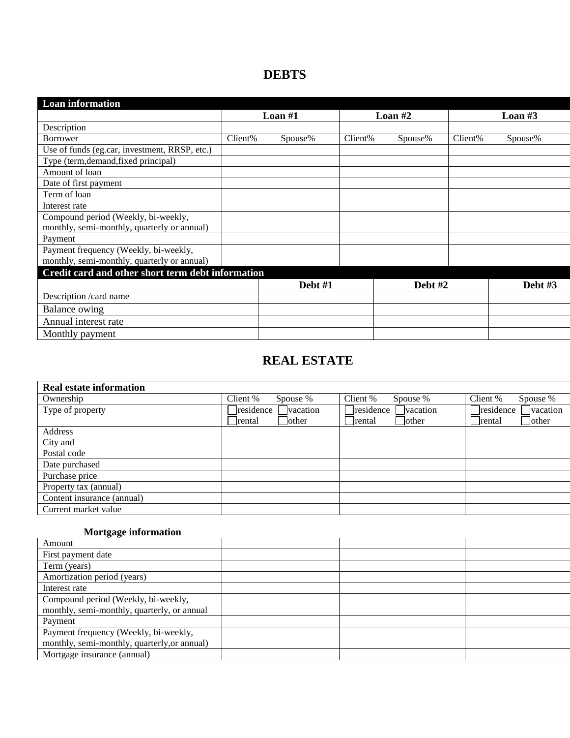## **DEBTS**

| <b>Loan information</b>                           |           |         |           |         |         |           |
|---------------------------------------------------|-----------|---------|-----------|---------|---------|-----------|
|                                                   | Loan $#1$ |         | Loan $#2$ |         |         | Loan $#3$ |
| Description                                       |           |         |           |         |         |           |
| <b>Borrower</b>                                   | Client%   | Spouse% | Client%   | Spouse% | Client% | Spouse%   |
| Use of funds (eg.car, investment, RRSP, etc.)     |           |         |           |         |         |           |
| Type (term, demand, fixed principal)              |           |         |           |         |         |           |
| Amount of loan                                    |           |         |           |         |         |           |
| Date of first payment                             |           |         |           |         |         |           |
| Term of loan                                      |           |         |           |         |         |           |
| Interest rate                                     |           |         |           |         |         |           |
| Compound period (Weekly, bi-weekly,               |           |         |           |         |         |           |
| monthly, semi-monthly, quarterly or annual)       |           |         |           |         |         |           |
| Payment                                           |           |         |           |         |         |           |
| Payment frequency (Weekly, bi-weekly,             |           |         |           |         |         |           |
| monthly, semi-monthly, quarterly or annual)       |           |         |           |         |         |           |
| Credit card and other short term debt information |           |         |           |         |         |           |
|                                                   |           | Debt #1 |           | Debt #2 |         | Debt $#3$ |
| Description /card name                            |           |         |           |         |         |           |
| Balance owing                                     |           |         |           |         |         |           |
| Annual interest rate                              |           |         |           |         |         |           |
| Monthly payment                                   |           |         |           |         |         |           |

### **REAL ESTATE**

| Client %<br>Client %<br>Client %<br>Ownership<br>Spouse %<br>Spouse %<br>Spouse %<br><b>Tresidence</b><br>residence<br>residence<br>vacation<br>Type of property<br><i>vacation</i><br><i>vacation</i><br>lother<br>other<br><b>other</b><br>rental<br>rental<br>rental<br>Address<br>City and<br>Postal code<br>Date purchased<br>Purchase price<br>Property tax (annual) | <b>Real estate information</b> |  |  |
|----------------------------------------------------------------------------------------------------------------------------------------------------------------------------------------------------------------------------------------------------------------------------------------------------------------------------------------------------------------------------|--------------------------------|--|--|
|                                                                                                                                                                                                                                                                                                                                                                            |                                |  |  |
|                                                                                                                                                                                                                                                                                                                                                                            |                                |  |  |
|                                                                                                                                                                                                                                                                                                                                                                            |                                |  |  |
|                                                                                                                                                                                                                                                                                                                                                                            |                                |  |  |
|                                                                                                                                                                                                                                                                                                                                                                            |                                |  |  |
|                                                                                                                                                                                                                                                                                                                                                                            |                                |  |  |
|                                                                                                                                                                                                                                                                                                                                                                            |                                |  |  |
|                                                                                                                                                                                                                                                                                                                                                                            |                                |  |  |
|                                                                                                                                                                                                                                                                                                                                                                            |                                |  |  |
| Content insurance (annual)                                                                                                                                                                                                                                                                                                                                                 |                                |  |  |
| Current market value                                                                                                                                                                                                                                                                                                                                                       |                                |  |  |

### **Mortgage information**

| <del>. .</del>                               |  |  |
|----------------------------------------------|--|--|
| Amount                                       |  |  |
| First payment date                           |  |  |
| Term (years)                                 |  |  |
| Amortization period (years)                  |  |  |
| Interest rate                                |  |  |
| Compound period (Weekly, bi-weekly,          |  |  |
| monthly, semi-monthly, quarterly, or annual  |  |  |
| Payment                                      |  |  |
| Payment frequency (Weekly, bi-weekly,        |  |  |
| monthly, semi-monthly, quarterly, or annual) |  |  |
| Mortgage insurance (annual)                  |  |  |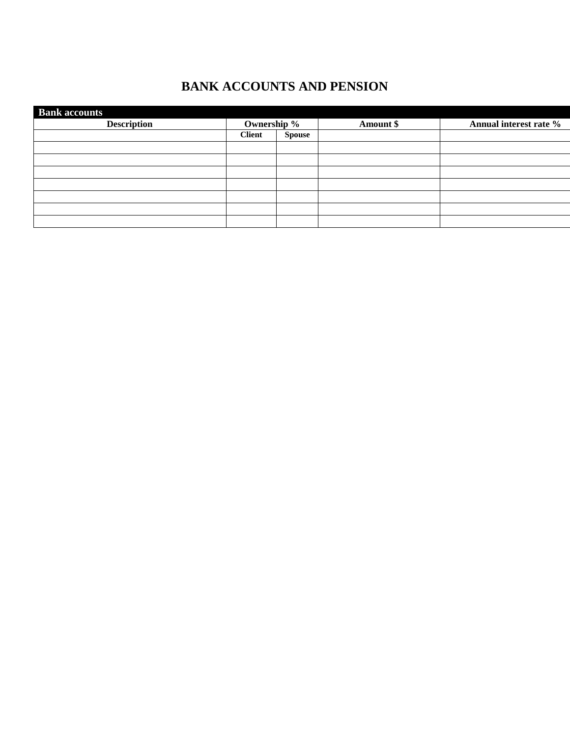## **BANK ACCOUNTS AND PENSION**

| <b>Bank accounts</b> |               |               |           |                        |
|----------------------|---------------|---------------|-----------|------------------------|
| <b>Description</b>   | Ownership %   |               | Amount \$ | Annual interest rate % |
|                      | <b>Client</b> | <b>Spouse</b> |           |                        |
|                      |               |               |           |                        |
|                      |               |               |           |                        |
|                      |               |               |           |                        |
|                      |               |               |           |                        |
|                      |               |               |           |                        |
|                      |               |               |           |                        |
|                      |               |               |           |                        |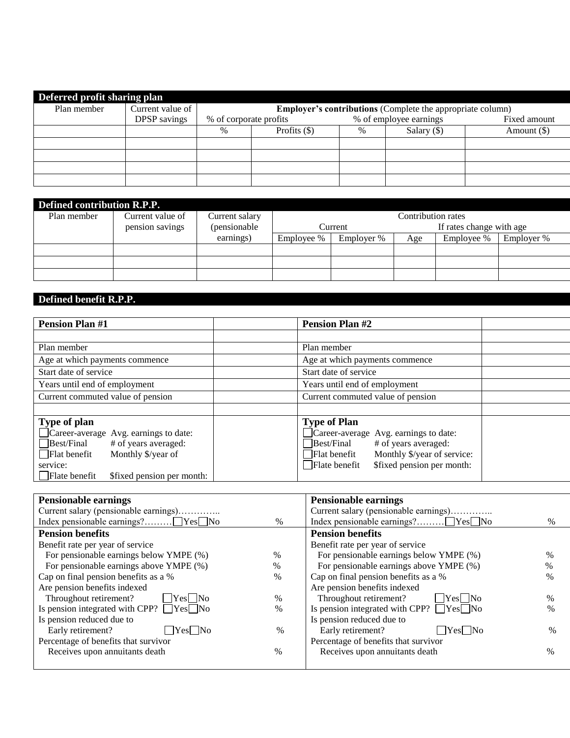| Deferred profit sharing plan |                          |                        |                |      |                                                                   |              |
|------------------------------|--------------------------|------------------------|----------------|------|-------------------------------------------------------------------|--------------|
| Plan member                  | Current value of $\vert$ |                        |                |      | <b>Employer's contributions</b> (Complete the appropriate column) |              |
|                              | <b>DPSP</b> savings      | % of corporate profits |                |      | % of employee earnings                                            | Fixed amount |
|                              |                          | $\%$                   | Profits $(\$)$ | $\%$ | Salary $(\$)$                                                     | Amount (\$)  |
|                              |                          |                        |                |      |                                                                   |              |
|                              |                          |                        |                |      |                                                                   |              |
|                              |                          |                        |                |      |                                                                   |              |
|                              |                          |                        |                |      |                                                                   |              |

| Defined contribution R.P.P. |                  |                |                                     |            |     |            |            |  |  |
|-----------------------------|------------------|----------------|-------------------------------------|------------|-----|------------|------------|--|--|
| Plan member                 | Current value of | Current salary | Contribution rates                  |            |     |            |            |  |  |
|                             | pension savings  | (pensionable)  | If rates change with age<br>Current |            |     |            |            |  |  |
|                             |                  | earnings)      | Employee %                          | Employer % | Age | Employee % | Employer % |  |  |
|                             |                  |                |                                     |            |     |            |            |  |  |
|                             |                  |                |                                     |            |     |            |            |  |  |
|                             |                  |                |                                     |            |     |            |            |  |  |

## **Defined benefit R.P.P.**

| <b>Pension Plan #1</b>                                                                                                                                                                                | <b>Pension Plan #2</b>                                                                                                                                                                           |
|-------------------------------------------------------------------------------------------------------------------------------------------------------------------------------------------------------|--------------------------------------------------------------------------------------------------------------------------------------------------------------------------------------------------|
|                                                                                                                                                                                                       |                                                                                                                                                                                                  |
| Plan member                                                                                                                                                                                           | Plan member                                                                                                                                                                                      |
| Age at which payments commence                                                                                                                                                                        | Age at which payments commence                                                                                                                                                                   |
| Start date of service                                                                                                                                                                                 | Start date of service                                                                                                                                                                            |
| Years until end of employment                                                                                                                                                                         | Years until end of employment                                                                                                                                                                    |
| Current commuted value of pension                                                                                                                                                                     | Current commuted value of pension                                                                                                                                                                |
|                                                                                                                                                                                                       |                                                                                                                                                                                                  |
| Type of plan<br>Career-average Avg. earnings to date:<br>Best/Final<br># of years averaged:<br>Monthly \$/year of<br>$\Box$ Flat benefit<br>service:<br>  Flate benefit<br>\$fixed pension per month: | <b>Type of Plan</b><br>Career-average Avg. earnings to date:<br># of years averaged:<br>Best/Final<br>Monthly \$/year of service:<br>Flat benefit<br>\$fixed pension per month:<br>Flate benefit |

| <b>Pensionable earnings</b>                          |               | <b>Pensionable earnings</b>                          |               |
|------------------------------------------------------|---------------|------------------------------------------------------|---------------|
| Current salary (pensionable earnings)                |               | Current salary (pensionable earnings)                |               |
|                                                      | $\%$          |                                                      | $\frac{0}{0}$ |
| <b>Pension benefits</b>                              |               | <b>Pension benefits</b>                              |               |
| Benefit rate per year of service                     |               | Benefit rate per year of service                     |               |
| For pensionable earnings below YMPE (%)              | $\%$          | For pensionable earnings below YMPE (%)              | $\%$          |
| For pensionable earnings above YMPE (%)              | $\%$          | For pensionable earnings above YMPE (%)              | $\%$          |
| Cap on final pension benefits as a %                 | $\frac{0}{0}$ | Cap on final pension benefits as a %                 | $\%$          |
| Are pension benefits indexed                         |               | Are pension benefits indexed                         |               |
| Throughout retirement?<br>$ $   Yes $ $   No         | $\%$          | Throughout retirement?<br>l lYesl lNo                | $\%$          |
| Is pension integrated with CPP? $\Box$ Yes $\Box$ No | $\%$          | Is pension integrated with CPP? $\Box$ Yes $\Box$ No | $\%$          |
| Is pension reduced due to                            |               | Is pension reduced due to                            |               |
| Early retirement?<br>$Yes$ No                        | $\%$          | Early retirement?<br>$\Box$ Yes $\Box$ No            | $\%$          |
| Percentage of benefits that survivor                 |               | Percentage of benefits that survivor                 |               |
| Receives upon annuitants death                       | $\%$          | Receives upon annuitants death                       | $\%$          |
|                                                      |               |                                                      |               |